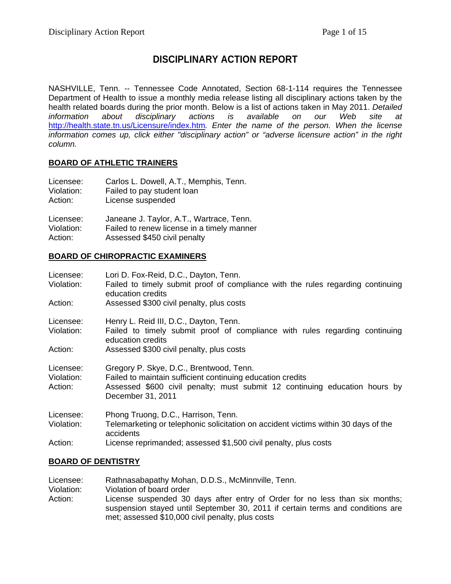# **DISCIPLINARY ACTION REPORT**

NASHVILLE, Tenn. -- Tennessee Code Annotated, Section 68-1-114 requires the Tennessee Department of Health to issue a monthly media release listing all disciplinary actions taken by the health related boards during the prior month. Below is a list of actions taken in May 2011. *Detailed information about disciplinary actions is available on our Web site at*  <http://health.state.tn.us/Licensure/index.htm>*. Enter the name of the person. When the license information comes up, click either "disciplinary action" or "adverse licensure action" in the right column.* 

#### **BOARD OF ATHLETIC TRAINERS**

| Licensee:  | Carlos L. Dowell, A.T., Memphis, Tenn.     |
|------------|--------------------------------------------|
| Violation: | Failed to pay student loan                 |
| Action:    | License suspended                          |
| Licensee:  | Janeane J. Taylor, A.T., Wartrace, Tenn.   |
| Violation: | Failed to renew license in a timely manner |
| Action:    | Assessed \$450 civil penalty               |

#### **BOARD OF CHIROPRACTIC EXAMINERS**

| Licensee:             | Lori D. Fox-Reid, D.C., Dayton, Tenn.                                                                                                    |
|-----------------------|------------------------------------------------------------------------------------------------------------------------------------------|
| Violation:            | Failed to timely submit proof of compliance with the rules regarding continuing<br>education credits                                     |
| Action:               | Assessed \$300 civil penalty, plus costs                                                                                                 |
| Licensee:             | Henry L. Reid III, D.C., Dayton, Tenn.                                                                                                   |
| Violation:            | Failed to timely submit proof of compliance with rules regarding continuing<br>education credits                                         |
| Action:               | Assessed \$300 civil penalty, plus costs                                                                                                 |
| Licensee:             | Gregory P. Skye, D.C., Brentwood, Tenn.                                                                                                  |
| Violation:<br>Action: | Failed to maintain sufficient continuing education credits<br>Assessed \$600 civil penalty; must submit 12 continuing education hours by |
|                       | December 31, 2011                                                                                                                        |
| Licensee:             | Phong Truong, D.C., Harrison, Tenn.                                                                                                      |
| Violation:            | Telemarketing or telephonic solicitation on accident victims within 30 days of the<br>accidents                                          |
| Action:               | License reprimanded; assessed \$1,500 civil penalty, plus costs                                                                          |

#### **BOARD OF DENTISTRY**

Licensee: Rathnasabapathy Mohan, D.D.S., McMinnville, Tenn. Violation: Violation of board order Action: License suspended 30 days after entry of Order for no less than six months; suspension stayed until September 30, 2011 if certain terms and conditions are met; assessed \$10,000 civil penalty, plus costs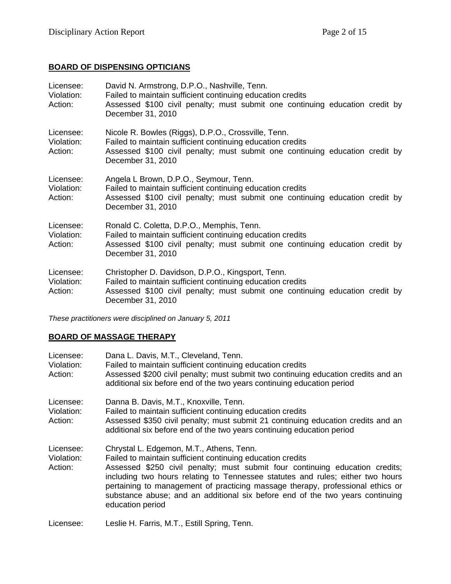### **BOARD OF DISPENSING OPTICIANS**

| Licensee:<br>Violation:<br>Action: | David N. Armstrong, D.P.O., Nashville, Tenn.<br>Failed to maintain sufficient continuing education credits<br>Assessed \$100 civil penalty; must submit one continuing education credit by<br>December 31, 2010        |
|------------------------------------|------------------------------------------------------------------------------------------------------------------------------------------------------------------------------------------------------------------------|
| Licensee:<br>Violation:<br>Action: | Nicole R. Bowles (Riggs), D.P.O., Crossville, Tenn.<br>Failed to maintain sufficient continuing education credits<br>Assessed \$100 civil penalty; must submit one continuing education credit by<br>December 31, 2010 |
| Licensee:<br>Violation:<br>Action: | Angela L Brown, D.P.O., Seymour, Tenn.<br>Failed to maintain sufficient continuing education credits<br>Assessed \$100 civil penalty; must submit one continuing education credit by<br>December 31, 2010              |
| Licensee:<br>Violation:<br>Action: | Ronald C. Coletta, D.P.O., Memphis, Tenn.<br>Failed to maintain sufficient continuing education credits<br>Assessed \$100 civil penalty; must submit one continuing education credit by<br>December 31, 2010           |
| Licensee:<br>Violation:<br>Action: | Christopher D. Davidson, D.P.O., Kingsport, Tenn.<br>Failed to maintain sufficient continuing education credits<br>Assessed \$100 civil penalty; must submit one continuing education credit by<br>December 31, 2010   |

*These practitioners were disciplined on January 5, 2011* 

#### **BOARD OF MASSAGE THERAPY**

| Licensee:<br>Violation:<br>Action: | Dana L. Davis, M.T., Cleveland, Tenn.<br>Failed to maintain sufficient continuing education credits<br>Assessed \$200 civil penalty; must submit two continuing education credits and an<br>additional six before end of the two years continuing education period                                                                                                                                                                                              |
|------------------------------------|-----------------------------------------------------------------------------------------------------------------------------------------------------------------------------------------------------------------------------------------------------------------------------------------------------------------------------------------------------------------------------------------------------------------------------------------------------------------|
| Licensee:<br>Violation:<br>Action: | Danna B. Davis, M.T., Knoxville, Tenn.<br>Failed to maintain sufficient continuing education credits<br>Assessed \$350 civil penalty; must submit 21 continuing education credits and an<br>additional six before end of the two years continuing education period                                                                                                                                                                                              |
| Licensee:<br>Violation:<br>Action: | Chrystal L. Edgemon, M.T., Athens, Tenn.<br>Failed to maintain sufficient continuing education credits<br>Assessed \$250 civil penalty; must submit four continuing education credits;<br>including two hours relating to Tennessee statutes and rules; either two hours<br>pertaining to management of practicing massage therapy, professional ethics or<br>substance abuse; and an additional six before end of the two years continuing<br>education period |
| Licensee:                          | Leslie H. Farris, M.T., Estill Spring, Tenn.                                                                                                                                                                                                                                                                                                                                                                                                                    |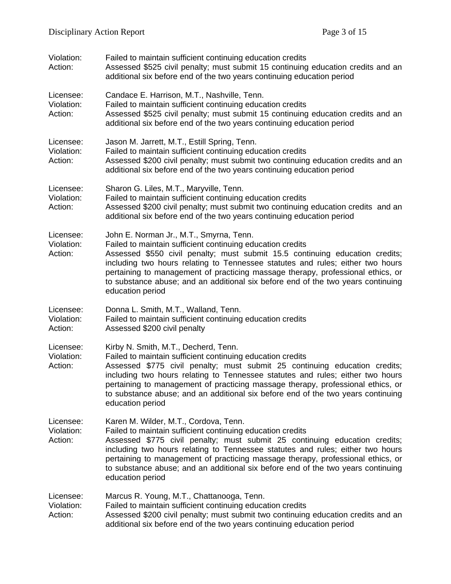| Violation:<br>Action:              | Failed to maintain sufficient continuing education credits<br>Assessed \$525 civil penalty; must submit 15 continuing education credits and an<br>additional six before end of the two years continuing education period                                                                                                                                                                                                                                           |
|------------------------------------|--------------------------------------------------------------------------------------------------------------------------------------------------------------------------------------------------------------------------------------------------------------------------------------------------------------------------------------------------------------------------------------------------------------------------------------------------------------------|
| Licensee:<br>Violation:<br>Action: | Candace E. Harrison, M.T., Nashville, Tenn.<br>Failed to maintain sufficient continuing education credits<br>Assessed \$525 civil penalty; must submit 15 continuing education credits and an<br>additional six before end of the two years continuing education period                                                                                                                                                                                            |
| Licensee:<br>Violation:<br>Action: | Jason M. Jarrett, M.T., Estill Spring, Tenn.<br>Failed to maintain sufficient continuing education credits<br>Assessed \$200 civil penalty; must submit two continuing education credits and an<br>additional six before end of the two years continuing education period                                                                                                                                                                                          |
| Licensee:<br>Violation:<br>Action: | Sharon G. Liles, M.T., Maryville, Tenn.<br>Failed to maintain sufficient continuing education credits<br>Assessed \$200 civil penalty; must submit two continuing education credits and an<br>additional six before end of the two years continuing education period                                                                                                                                                                                               |
| Licensee:<br>Violation:<br>Action: | John E. Norman Jr., M.T., Smyrna, Tenn.<br>Failed to maintain sufficient continuing education credits<br>Assessed \$550 civil penalty; must submit 15.5 continuing education credits;<br>including two hours relating to Tennessee statutes and rules; either two hours<br>pertaining to management of practicing massage therapy, professional ethics, or<br>to substance abuse; and an additional six before end of the two years continuing<br>education period |
| Licensee:<br>Violation:<br>Action: | Donna L. Smith, M.T., Walland, Tenn.<br>Failed to maintain sufficient continuing education credits<br>Assessed \$200 civil penalty                                                                                                                                                                                                                                                                                                                                 |
| Licensee:<br>Violation:<br>Action: | Kirby N. Smith, M.T., Decherd, Tenn.<br>Failed to maintain sufficient continuing education credits<br>Assessed \$775 civil penalty; must submit 25 continuing education credits;<br>including two hours relating to Tennessee statutes and rules; either two hours<br>pertaining to management of practicing massage therapy, professional ethics, or<br>to substance abuse; and an additional six before end of the two years continuing<br>education period      |
| Licensee:<br>Violation:<br>Action: | Karen M. Wilder, M.T., Cordova, Tenn.<br>Failed to maintain sufficient continuing education credits<br>Assessed \$775 civil penalty; must submit 25 continuing education credits;<br>including two hours relating to Tennessee statutes and rules; either two hours<br>pertaining to management of practicing massage therapy, professional ethics, or<br>to substance abuse; and an additional six before end of the two years continuing<br>education period     |
| Licensee:<br>Violation:<br>Action: | Marcus R. Young, M.T., Chattanooga, Tenn.<br>Failed to maintain sufficient continuing education credits<br>Assessed \$200 civil penalty; must submit two continuing education credits and an<br>additional six before end of the two years continuing education period                                                                                                                                                                                             |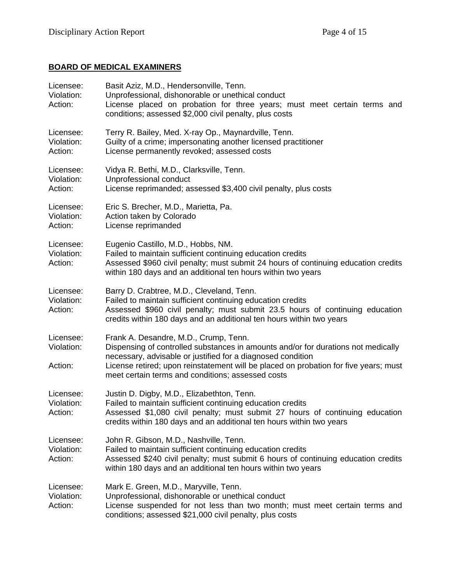# **BOARD OF MEDICAL EXAMINERS**

| Licensee:<br>Violation:<br>Action: | Basit Aziz, M.D., Hendersonville, Tenn.<br>Unprofessional, dishonorable or unethical conduct<br>License placed on probation for three years; must meet certain terms and<br>conditions; assessed \$2,000 civil penalty, plus costs                                                                                                     |
|------------------------------------|----------------------------------------------------------------------------------------------------------------------------------------------------------------------------------------------------------------------------------------------------------------------------------------------------------------------------------------|
| Licensee:<br>Violation:<br>Action: | Terry R. Bailey, Med. X-ray Op., Maynardville, Tenn.<br>Guilty of a crime; impersonating another licensed practitioner<br>License permanently revoked; assessed costs                                                                                                                                                                  |
| Licensee:<br>Violation:<br>Action: | Vidya R. Bethi, M.D., Clarksville, Tenn.<br>Unprofessional conduct<br>License reprimanded; assessed \$3,400 civil penalty, plus costs                                                                                                                                                                                                  |
| Licensee:<br>Violation:<br>Action: | Eric S. Brecher, M.D., Marietta, Pa.<br>Action taken by Colorado<br>License reprimanded                                                                                                                                                                                                                                                |
| Licensee:<br>Violation:<br>Action: | Eugenio Castillo, M.D., Hobbs, NM.<br>Failed to maintain sufficient continuing education credits<br>Assessed \$960 civil penalty; must submit 24 hours of continuing education credits<br>within 180 days and an additional ten hours within two years                                                                                 |
| Licensee:<br>Violation:<br>Action: | Barry D. Crabtree, M.D., Cleveland, Tenn.<br>Failed to maintain sufficient continuing education credits<br>Assessed \$960 civil penalty; must submit 23.5 hours of continuing education<br>credits within 180 days and an additional ten hours within two years                                                                        |
| Licensee:<br>Violation:<br>Action: | Frank A. Desandre, M.D., Crump, Tenn.<br>Dispensing of controlled substances in amounts and/or for durations not medically<br>necessary, advisable or justified for a diagnosed condition<br>License retired; upon reinstatement will be placed on probation for five years; must<br>meet certain terms and conditions; assessed costs |
| Licensee:<br>Violation:<br>Action: | Justin D. Digby, M.D., Elizabethton, Tenn.<br>Failed to maintain sufficient continuing education credits<br>Assessed \$1,080 civil penalty; must submit 27 hours of continuing education<br>credits within 180 days and an additional ten hours within two years                                                                       |
| Licensee:<br>Violation:<br>Action: | John R. Gibson, M.D., Nashville, Tenn.<br>Failed to maintain sufficient continuing education credits<br>Assessed \$240 civil penalty; must submit 6 hours of continuing education credits<br>within 180 days and an additional ten hours within two years                                                                              |
| Licensee:<br>Violation:<br>Action: | Mark E. Green, M.D., Maryville, Tenn.<br>Unprofessional, dishonorable or unethical conduct<br>License suspended for not less than two month; must meet certain terms and<br>conditions; assessed \$21,000 civil penalty, plus costs                                                                                                    |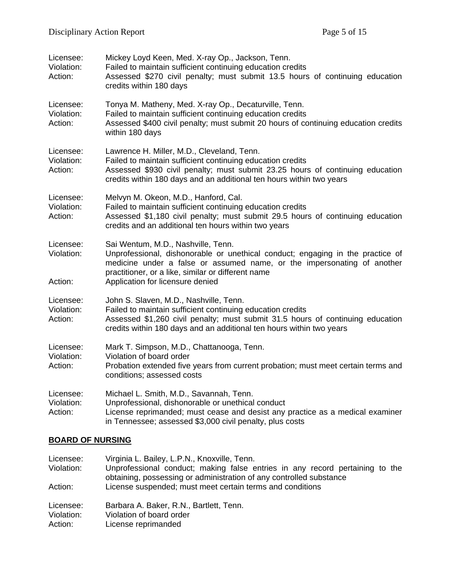| Licensee:<br>Violation:<br>Action: | Mickey Loyd Keen, Med. X-ray Op., Jackson, Tenn.<br>Failed to maintain sufficient continuing education credits<br>Assessed \$270 civil penalty; must submit 13.5 hours of continuing education<br>credits within 180 days                                                                 |
|------------------------------------|-------------------------------------------------------------------------------------------------------------------------------------------------------------------------------------------------------------------------------------------------------------------------------------------|
| Licensee:<br>Violation:<br>Action: | Tonya M. Matheny, Med. X-ray Op., Decaturville, Tenn.<br>Failed to maintain sufficient continuing education credits<br>Assessed \$400 civil penalty; must submit 20 hours of continuing education credits<br>within 180 days                                                              |
| Licensee:<br>Violation:<br>Action: | Lawrence H. Miller, M.D., Cleveland, Tenn.<br>Failed to maintain sufficient continuing education credits<br>Assessed \$930 civil penalty; must submit 23.25 hours of continuing education<br>credits within 180 days and an additional ten hours within two years                         |
| Licensee:<br>Violation:<br>Action: | Melvyn M. Okeon, M.D., Hanford, Cal.<br>Failed to maintain sufficient continuing education credits<br>Assessed \$1,180 civil penalty; must submit 29.5 hours of continuing education<br>credits and an additional ten hours within two years                                              |
| Licensee:<br>Violation:<br>Action: | Sai Wentum, M.D., Nashville, Tenn.<br>Unprofessional, dishonorable or unethical conduct; engaging in the practice of<br>medicine under a false or assumed name, or the impersonating of another<br>practitioner, or a like, similar or different name<br>Application for licensure denied |
| Licensee:<br>Violation:<br>Action: | John S. Slaven, M.D., Nashville, Tenn.<br>Failed to maintain sufficient continuing education credits<br>Assessed \$1,260 civil penalty; must submit 31.5 hours of continuing education<br>credits within 180 days and an additional ten hours within two years                            |
| Licensee:<br>Violation:<br>Action: | Mark T. Simpson, M.D., Chattanooga, Tenn.<br>Violation of board order<br>Probation extended five years from current probation; must meet certain terms and<br>conditions; assessed costs                                                                                                  |
| Licensee:<br>Violation:<br>Action: | Michael L. Smith, M.D., Savannah, Tenn.<br>Unprofessional, dishonorable or unethical conduct<br>License reprimanded; must cease and desist any practice as a medical examiner<br>in Tennessee; assessed \$3,000 civil penalty, plus costs                                                 |

# **BOARD OF NURSING**

| Licensee:             | Virginia L. Bailey, L.P.N., Knoxville, Tenn.                                                                                                        |
|-----------------------|-----------------------------------------------------------------------------------------------------------------------------------------------------|
| Violation:            | Unprofessional conduct; making false entries in any record pertaining to the<br>obtaining, possessing or administration of any controlled substance |
| Action:               | License suspended; must meet certain terms and conditions                                                                                           |
| Licensee:             | Barbara A. Baker, R.N., Bartlett, Tenn.                                                                                                             |
| Violation:<br>Action: | Violation of board order<br>License reprimanded                                                                                                     |
|                       |                                                                                                                                                     |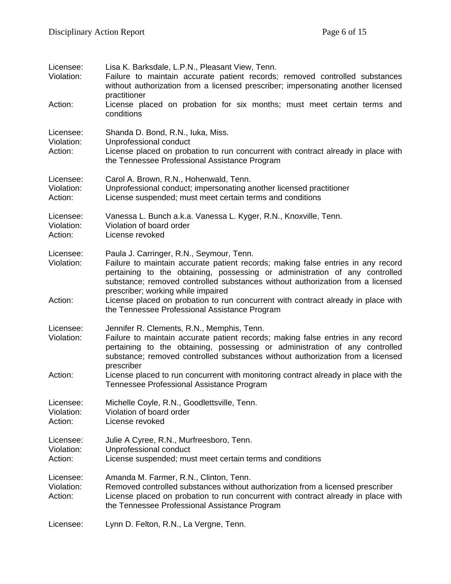| Licensee:<br>Violation:<br>Action: | Lisa K. Barksdale, L.P.N., Pleasant View, Tenn.<br>Failure to maintain accurate patient records; removed controlled substances<br>without authorization from a licensed prescriber; impersonating another licensed<br>practitioner<br>License placed on probation for six months; must meet certain terms and                                                                                                            |
|------------------------------------|--------------------------------------------------------------------------------------------------------------------------------------------------------------------------------------------------------------------------------------------------------------------------------------------------------------------------------------------------------------------------------------------------------------------------|
|                                    | conditions                                                                                                                                                                                                                                                                                                                                                                                                               |
| Licensee:<br>Violation:<br>Action: | Shanda D. Bond, R.N., luka, Miss.<br>Unprofessional conduct<br>License placed on probation to run concurrent with contract already in place with<br>the Tennessee Professional Assistance Program                                                                                                                                                                                                                        |
| Licensee:<br>Violation:<br>Action: | Carol A. Brown, R.N., Hohenwald, Tenn.<br>Unprofessional conduct; impersonating another licensed practitioner<br>License suspended; must meet certain terms and conditions                                                                                                                                                                                                                                               |
| Licensee:<br>Violation:<br>Action: | Vanessa L. Bunch a.k.a. Vanessa L. Kyger, R.N., Knoxville, Tenn.<br>Violation of board order<br>License revoked                                                                                                                                                                                                                                                                                                          |
| Licensee:<br>Violation:<br>Action: | Paula J. Carringer, R.N., Seymour, Tenn.<br>Failure to maintain accurate patient records; making false entries in any record<br>pertaining to the obtaining, possessing or administration of any controlled<br>substance; removed controlled substances without authorization from a licensed<br>prescriber; working while impaired<br>License placed on probation to run concurrent with contract already in place with |
|                                    | the Tennessee Professional Assistance Program                                                                                                                                                                                                                                                                                                                                                                            |
| Licensee:<br>Violation:            | Jennifer R. Clements, R.N., Memphis, Tenn.<br>Failure to maintain accurate patient records; making false entries in any record<br>pertaining to the obtaining, possessing or administration of any controlled<br>substance; removed controlled substances without authorization from a licensed<br>prescriber                                                                                                            |
| Action:                            | License placed to run concurrent with monitoring contract already in place with the<br>Tennessee Professional Assistance Program                                                                                                                                                                                                                                                                                         |
| Licensee:<br>Violation:<br>Action: | Michelle Coyle, R.N., Goodlettsville, Tenn.<br>Violation of board order<br>License revoked                                                                                                                                                                                                                                                                                                                               |
| Licensee:<br>Violation:<br>Action: | Julie A Cyree, R.N., Murfreesboro, Tenn.<br>Unprofessional conduct<br>License suspended; must meet certain terms and conditions                                                                                                                                                                                                                                                                                          |
| Licensee:<br>Violation:<br>Action: | Amanda M. Farmer, R.N., Clinton, Tenn.<br>Removed controlled substances without authorization from a licensed prescriber<br>License placed on probation to run concurrent with contract already in place with<br>the Tennessee Professional Assistance Program                                                                                                                                                           |
| Licensee:                          | Lynn D. Felton, R.N., La Vergne, Tenn.                                                                                                                                                                                                                                                                                                                                                                                   |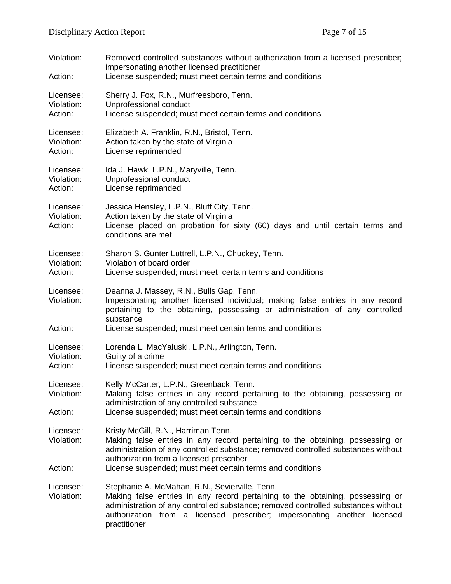| Violation:<br>Action:              | Removed controlled substances without authorization from a licensed prescriber;<br>impersonating another licensed practitioner<br>License suspended; must meet certain terms and conditions                                                                                                                        |
|------------------------------------|--------------------------------------------------------------------------------------------------------------------------------------------------------------------------------------------------------------------------------------------------------------------------------------------------------------------|
| Licensee:<br>Violation:<br>Action: | Sherry J. Fox, R.N., Murfreesboro, Tenn.<br>Unprofessional conduct<br>License suspended; must meet certain terms and conditions                                                                                                                                                                                    |
| Licensee:<br>Violation:<br>Action: | Elizabeth A. Franklin, R.N., Bristol, Tenn.<br>Action taken by the state of Virginia<br>License reprimanded                                                                                                                                                                                                        |
| Licensee:<br>Violation:<br>Action: | Ida J. Hawk, L.P.N., Maryville, Tenn.<br>Unprofessional conduct<br>License reprimanded                                                                                                                                                                                                                             |
| Licensee:<br>Violation:<br>Action: | Jessica Hensley, L.P.N., Bluff City, Tenn.<br>Action taken by the state of Virginia<br>License placed on probation for sixty (60) days and until certain terms and<br>conditions are met                                                                                                                           |
| Licensee:<br>Violation:<br>Action: | Sharon S. Gunter Luttrell, L.P.N., Chuckey, Tenn.<br>Violation of board order<br>License suspended; must meet certain terms and conditions                                                                                                                                                                         |
| Licensee:<br>Violation:<br>Action: | Deanna J. Massey, R.N., Bulls Gap, Tenn.<br>Impersonating another licensed individual; making false entries in any record<br>pertaining to the obtaining, possessing or administration of any controlled<br>substance<br>License suspended; must meet certain terms and conditions                                 |
| Licensee:<br>Violation:<br>Action: | Lorenda L. MacYaluski, L.P.N., Arlington, Tenn.<br>Guilty of a crime<br>License suspended; must meet certain terms and conditions                                                                                                                                                                                  |
| Licensee:<br>Violation:<br>Action: | Kelly McCarter, L.P.N., Greenback, Tenn.<br>Making false entries in any record pertaining to the obtaining, possessing or<br>administration of any controlled substance<br>License suspended; must meet certain terms and conditions                                                                               |
| Licensee:<br>Violation:<br>Action: | Kristy McGill, R.N., Harriman Tenn.<br>Making false entries in any record pertaining to the obtaining, possessing or<br>administration of any controlled substance; removed controlled substances without<br>authorization from a licensed prescriber<br>License suspended; must meet certain terms and conditions |
| Licensee:<br>Violation:            | Stephanie A. McMahan, R.N., Sevierville, Tenn.<br>Making false entries in any record pertaining to the obtaining, possessing or<br>administration of any controlled substance; removed controlled substances without<br>authorization from a licensed prescriber; impersonating another licensed<br>practitioner   |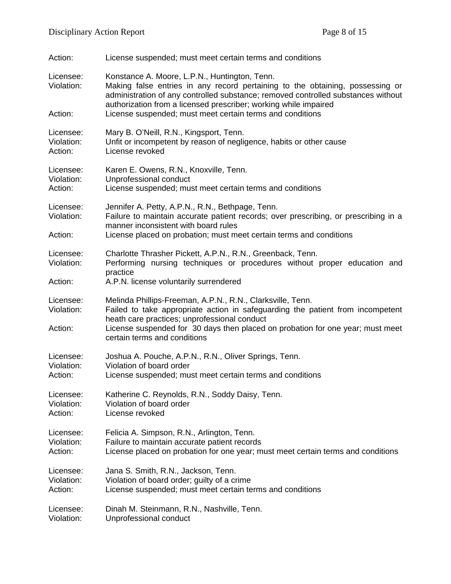| Action:                            | License suspended; must meet certain terms and conditions                                                                                                                                                                                                                                                                                            |
|------------------------------------|------------------------------------------------------------------------------------------------------------------------------------------------------------------------------------------------------------------------------------------------------------------------------------------------------------------------------------------------------|
| Licensee:<br>Violation:<br>Action: | Konstance A. Moore, L.P.N., Huntington, Tenn.<br>Making false entries in any record pertaining to the obtaining, possessing or<br>administration of any controlled substance; removed controlled substances without<br>authorization from a licensed prescriber; working while impaired<br>License suspended; must meet certain terms and conditions |
| Licensee:                          | Mary B. O'Neill, R.N., Kingsport, Tenn.                                                                                                                                                                                                                                                                                                              |
| Violation:                         | Unfit or incompetent by reason of negligence, habits or other cause                                                                                                                                                                                                                                                                                  |
| Action:                            | License revoked                                                                                                                                                                                                                                                                                                                                      |
| Licensee:                          | Karen E. Owens, R.N., Knoxville, Tenn.                                                                                                                                                                                                                                                                                                               |
| Violation:                         | Unprofessional conduct                                                                                                                                                                                                                                                                                                                               |
| Action:                            | License suspended; must meet certain terms and conditions                                                                                                                                                                                                                                                                                            |
| Licensee:<br>Violation:<br>Action: | Jennifer A. Petty, A.P.N., R.N., Bethpage, Tenn.<br>Failure to maintain accurate patient records; over prescribing, or prescribing in a<br>manner inconsistent with board rules<br>License placed on probation; must meet certain terms and conditions                                                                                               |
| Licensee:<br>Violation:<br>Action: | Charlotte Thrasher Pickett, A.P.N., R.N., Greenback, Tenn.<br>Performing nursing techniques or procedures without proper education and<br>practice<br>A.P.N. license voluntarily surrendered                                                                                                                                                         |
| Licensee:<br>Violation:<br>Action: | Melinda Phillips-Freeman, A.P.N., R.N., Clarksville, Tenn.<br>Failed to take appropriate action in safeguarding the patient from incompetent<br>heath care practices; unprofessional conduct<br>License suspended for 30 days then placed on probation for one year; must meet<br>certain terms and conditions                                       |
| Licensee:                          | Joshua A. Pouche, A.P.N., R.N., Oliver Springs, Tenn.                                                                                                                                                                                                                                                                                                |
| Violation:                         | Violation of board order                                                                                                                                                                                                                                                                                                                             |
| Action:                            | License suspended; must meet certain terms and conditions                                                                                                                                                                                                                                                                                            |
| Licensee:                          | Katherine C. Reynolds, R.N., Soddy Daisy, Tenn.                                                                                                                                                                                                                                                                                                      |
| Violation:                         | Violation of board order                                                                                                                                                                                                                                                                                                                             |
| Action:                            | License revoked                                                                                                                                                                                                                                                                                                                                      |
| Licensee:                          | Felicia A. Simpson, R.N., Arlington, Tenn.                                                                                                                                                                                                                                                                                                           |
| Violation:                         | Failure to maintain accurate patient records                                                                                                                                                                                                                                                                                                         |
| Action:                            | License placed on probation for one year; must meet certain terms and conditions                                                                                                                                                                                                                                                                     |
| Licensee:                          | Jana S. Smith, R.N., Jackson, Tenn.                                                                                                                                                                                                                                                                                                                  |
| Violation:                         | Violation of board order; guilty of a crime                                                                                                                                                                                                                                                                                                          |
| Action:                            | License suspended; must meet certain terms and conditions                                                                                                                                                                                                                                                                                            |
| Licensee:                          | Dinah M. Steinmann, R.N., Nashville, Tenn.                                                                                                                                                                                                                                                                                                           |
| Violation:                         | Unprofessional conduct                                                                                                                                                                                                                                                                                                                               |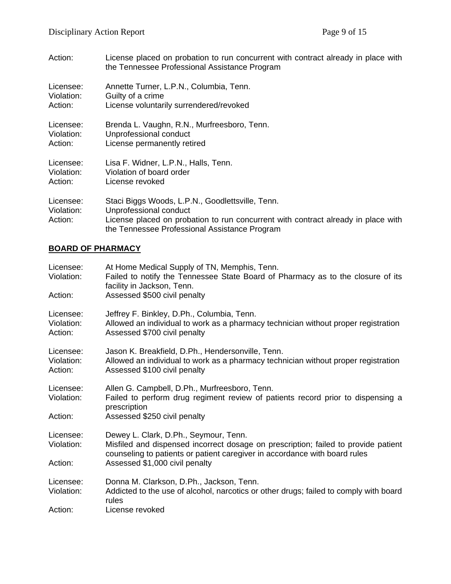| Action:                            | License placed on probation to run concurrent with contract already in place with<br>the Tennessee Professional Assistance Program                                                                               |
|------------------------------------|------------------------------------------------------------------------------------------------------------------------------------------------------------------------------------------------------------------|
| Licensee:                          | Annette Turner, L.P.N., Columbia, Tenn.                                                                                                                                                                          |
| Violation:                         | Guilty of a crime                                                                                                                                                                                                |
| Action:                            | License voluntarily surrendered/revoked                                                                                                                                                                          |
| Licensee:                          | Brenda L. Vaughn, R.N., Murfreesboro, Tenn.                                                                                                                                                                      |
| Violation:                         | Unprofessional conduct                                                                                                                                                                                           |
| Action:                            | License permanently retired                                                                                                                                                                                      |
| Licensee:                          | Lisa F. Widner, L.P.N., Halls, Tenn.                                                                                                                                                                             |
| Violation:                         | Violation of board order                                                                                                                                                                                         |
| Action:                            | License revoked                                                                                                                                                                                                  |
| Licensee:<br>Violation:<br>Action: | Staci Biggs Woods, L.P.N., Goodlettsville, Tenn.<br>Unprofessional conduct<br>License placed on probation to run concurrent with contract already in place with<br>the Tennessee Professional Assistance Program |

# **BOARD OF PHARMACY**

| At Home Medical Supply of TN, Memphis, Tenn.<br>Failed to notify the Tennessee State Board of Pharmacy as to the closure of its<br>facility in Jackson, Tenn.<br>Assessed \$500 civil penalty                                               |
|---------------------------------------------------------------------------------------------------------------------------------------------------------------------------------------------------------------------------------------------|
|                                                                                                                                                                                                                                             |
| Jeffrey F. Binkley, D.Ph., Columbia, Tenn.<br>Allowed an individual to work as a pharmacy technician without proper registration<br>Assessed \$700 civil penalty                                                                            |
| Jason K. Breakfield, D.Ph., Hendersonville, Tenn.<br>Allowed an individual to work as a pharmacy technician without proper registration<br>Assessed \$100 civil penalty                                                                     |
| Allen G. Campbell, D.Ph., Murfreesboro, Tenn.<br>Failed to perform drug regiment review of patients record prior to dispensing a<br>prescription<br>Assessed \$250 civil penalty                                                            |
| Dewey L. Clark, D.Ph., Seymour, Tenn.<br>Misfiled and dispensed incorrect dosage on prescription; failed to provide patient<br>counseling to patients or patient caregiver in accordance with board rules<br>Assessed \$1,000 civil penalty |
| Donna M. Clarkson, D.Ph., Jackson, Tenn.<br>Addicted to the use of alcohol, narcotics or other drugs; failed to comply with board<br>rules<br>License revoked                                                                               |
|                                                                                                                                                                                                                                             |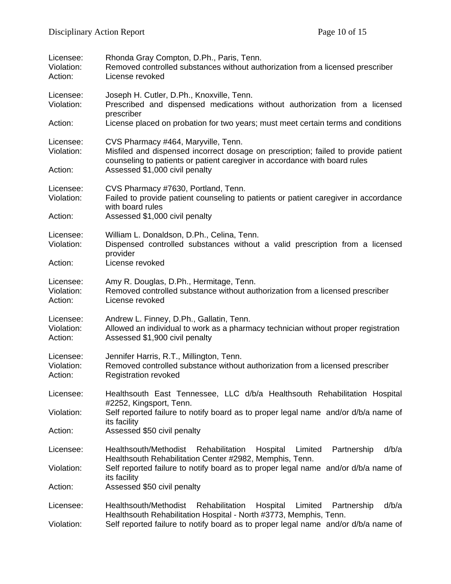| Licensee:<br>Violation:<br>Action: | Rhonda Gray Compton, D.Ph., Paris, Tenn.<br>Removed controlled substances without authorization from a licensed prescriber<br>License revoked                                                                                                     |
|------------------------------------|---------------------------------------------------------------------------------------------------------------------------------------------------------------------------------------------------------------------------------------------------|
| Licensee:<br>Violation:            | Joseph H. Cutler, D.Ph., Knoxville, Tenn.<br>Prescribed and dispensed medications without authorization from a licensed<br>prescriber                                                                                                             |
| Action:                            | License placed on probation for two years; must meet certain terms and conditions                                                                                                                                                                 |
| Licensee:<br>Violation:<br>Action: | CVS Pharmacy #464, Maryville, Tenn.<br>Misfiled and dispensed incorrect dosage on prescription; failed to provide patient<br>counseling to patients or patient caregiver in accordance with board rules<br>Assessed \$1,000 civil penalty         |
| Licensee:<br>Violation:<br>Action: | CVS Pharmacy #7630, Portland, Tenn.<br>Failed to provide patient counseling to patients or patient caregiver in accordance<br>with board rules<br>Assessed \$1,000 civil penalty                                                                  |
| Licensee:<br>Violation:<br>Action: | William L. Donaldson, D.Ph., Celina, Tenn.<br>Dispensed controlled substances without a valid prescription from a licensed<br>provider<br>License revoked                                                                                         |
| Licensee:<br>Violation:<br>Action: | Amy R. Douglas, D.Ph., Hermitage, Tenn.<br>Removed controlled substance without authorization from a licensed prescriber<br>License revoked                                                                                                       |
| Licensee:<br>Violation:<br>Action: | Andrew L. Finney, D.Ph., Gallatin, Tenn.<br>Allowed an individual to work as a pharmacy technician without proper registration<br>Assessed \$1,900 civil penalty                                                                                  |
| Licensee:<br>Violation:<br>Action: | Jennifer Harris, R.T., Millington, Tenn.<br>Removed controlled substance without authorization from a licensed prescriber<br><b>Registration revoked</b>                                                                                          |
| Licensee:                          | Healthsouth East Tennessee, LLC d/b/a Healthsouth Rehabilitation Hospital                                                                                                                                                                         |
| Violation:                         | #2252, Kingsport, Tenn.<br>Self reported failure to notify board as to proper legal name and/or d/b/a name of<br>its facility                                                                                                                     |
| Action:                            | Assessed \$50 civil penalty                                                                                                                                                                                                                       |
| Licensee:                          | Healthsouth/Methodist<br>Rehabilitation<br>Partnership<br>d/b/a<br>Hospital<br>Limited<br>Healthsouth Rehabilitation Center #2982, Memphis, Tenn.                                                                                                 |
| Violation:                         | Self reported failure to notify board as to proper legal name and/or d/b/a name of<br>its facility                                                                                                                                                |
| Action:                            | Assessed \$50 civil penalty                                                                                                                                                                                                                       |
| Licensee:<br>Violation:            | Healthsouth/Methodist<br>d/b/a<br>Rehabilitation<br>Hospital<br>Limited<br>Partnership<br>Healthsouth Rehabilitation Hospital - North #3773, Memphis, Tenn.<br>Self reported failure to notify board as to proper legal name and/or d/b/a name of |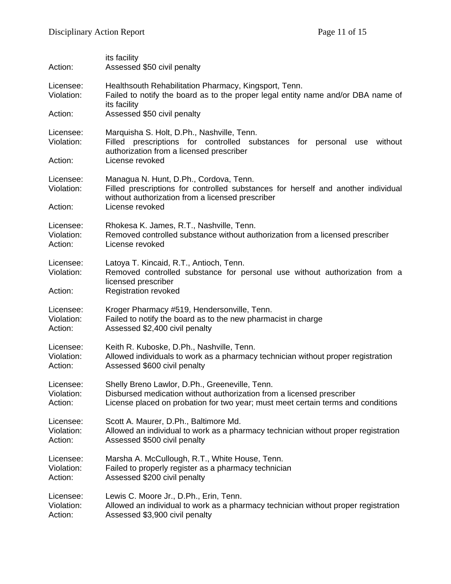| Action:                            | its facility<br>Assessed \$50 civil penalty                                                                                                                                                        |
|------------------------------------|----------------------------------------------------------------------------------------------------------------------------------------------------------------------------------------------------|
| Licensee:<br>Violation:            | Healthsouth Rehabilitation Pharmacy, Kingsport, Tenn.<br>Failed to notify the board as to the proper legal entity name and/or DBA name of<br>its facility                                          |
| Action:                            | Assessed \$50 civil penalty                                                                                                                                                                        |
| Licensee:<br>Violation:<br>Action: | Marquisha S. Holt, D.Ph., Nashville, Tenn.<br>Filled prescriptions for controlled substances for personal use<br>without<br>authorization from a licensed prescriber<br>License revoked            |
| Licensee:<br>Violation:<br>Action: | Managua N. Hunt, D.Ph., Cordova, Tenn.<br>Filled prescriptions for controlled substances for herself and another individual<br>without authorization from a licensed prescriber<br>License revoked |
| Licensee:                          | Rhokesa K. James, R.T., Nashville, Tenn.                                                                                                                                                           |
| Violation:                         | Removed controlled substance without authorization from a licensed prescriber                                                                                                                      |
| Action:                            | License revoked                                                                                                                                                                                    |
| Licensee:<br>Violation:<br>Action: | Latoya T. Kincaid, R.T., Antioch, Tenn.<br>Removed controlled substance for personal use without authorization from a<br>licensed prescriber<br><b>Registration revoked</b>                        |
| Licensee:                          | Kroger Pharmacy #519, Hendersonville, Tenn.                                                                                                                                                        |
| Violation:                         | Failed to notify the board as to the new pharmacist in charge                                                                                                                                      |
| Action:                            | Assessed \$2,400 civil penalty                                                                                                                                                                     |
| Licensee:                          | Keith R. Kuboske, D.Ph., Nashville, Tenn.                                                                                                                                                          |
| Violation:                         | Allowed individuals to work as a pharmacy technician without proper registration                                                                                                                   |
| Action:                            | Assessed \$600 civil penalty                                                                                                                                                                       |
| Licensee:                          | Shelly Breno Lawlor, D.Ph., Greeneville, Tenn.                                                                                                                                                     |
| Violation:                         | Disbursed medication without authorization from a licensed prescriber                                                                                                                              |
| Action:                            | License placed on probation for two year; must meet certain terms and conditions                                                                                                                   |
| Licensee:                          | Scott A. Maurer, D.Ph., Baltimore Md.                                                                                                                                                              |
| Violation:                         | Allowed an individual to work as a pharmacy technician without proper registration                                                                                                                 |
| Action:                            | Assessed \$500 civil penalty                                                                                                                                                                       |
| Licensee:                          | Marsha A. McCullough, R.T., White House, Tenn.                                                                                                                                                     |
| Violation:                         | Failed to properly register as a pharmacy technician                                                                                                                                               |
| Action:                            | Assessed \$200 civil penalty                                                                                                                                                                       |
| Licensee:                          | Lewis C. Moore Jr., D.Ph., Erin, Tenn.                                                                                                                                                             |
| Violation:                         | Allowed an individual to work as a pharmacy technician without proper registration                                                                                                                 |
| Action:                            | Assessed \$3,900 civil penalty                                                                                                                                                                     |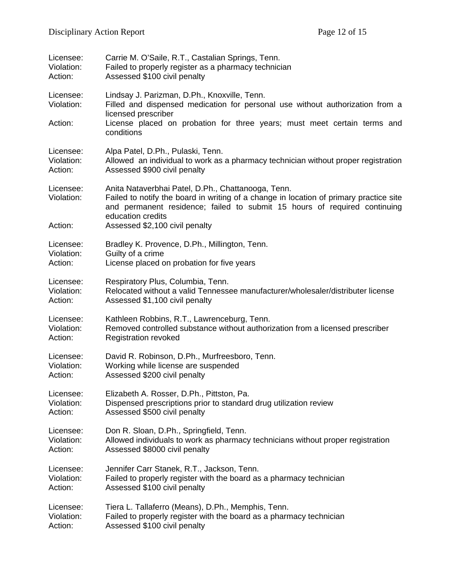| Licensee:                          | Carrie M. O'Saile, R.T., Castalian Springs, Tenn.                                                                                                                                                                                                                                |
|------------------------------------|----------------------------------------------------------------------------------------------------------------------------------------------------------------------------------------------------------------------------------------------------------------------------------|
| Violation:                         | Failed to properly register as a pharmacy technician                                                                                                                                                                                                                             |
| Action:                            | Assessed \$100 civil penalty                                                                                                                                                                                                                                                     |
| Licensee:<br>Violation:            | Lindsay J. Parizman, D.Ph., Knoxville, Tenn.<br>Filled and dispensed medication for personal use without authorization from a<br>licensed prescriber                                                                                                                             |
| Action:                            | License placed on probation for three years; must meet certain terms and<br>conditions                                                                                                                                                                                           |
| Licensee:                          | Alpa Patel, D.Ph., Pulaski, Tenn.                                                                                                                                                                                                                                                |
| Violation:                         | Allowed an individual to work as a pharmacy technician without proper registration                                                                                                                                                                                               |
| Action:                            | Assessed \$900 civil penalty                                                                                                                                                                                                                                                     |
| Licensee:<br>Violation:<br>Action: | Anita Nataverbhai Patel, D.Ph., Chattanooga, Tenn.<br>Failed to notify the board in writing of a change in location of primary practice site<br>and permanent residence; failed to submit 15 hours of required continuing<br>education credits<br>Assessed \$2,100 civil penalty |
| Licensee:                          | Bradley K. Provence, D.Ph., Millington, Tenn.                                                                                                                                                                                                                                    |
| Violation:                         | Guilty of a crime                                                                                                                                                                                                                                                                |
| Action:                            | License placed on probation for five years                                                                                                                                                                                                                                       |
| Licensee:                          | Respiratory Plus, Columbia, Tenn.                                                                                                                                                                                                                                                |
| Violation:                         | Relocated without a valid Tennessee manufacturer/wholesaler/distributer license                                                                                                                                                                                                  |
| Action:                            | Assessed \$1,100 civil penalty                                                                                                                                                                                                                                                   |
| Licensee:                          | Kathleen Robbins, R.T., Lawrenceburg, Tenn.                                                                                                                                                                                                                                      |
| Violation:                         | Removed controlled substance without authorization from a licensed prescriber                                                                                                                                                                                                    |
| Action:                            | <b>Registration revoked</b>                                                                                                                                                                                                                                                      |
| Licensee:                          | David R. Robinson, D.Ph., Murfreesboro, Tenn.                                                                                                                                                                                                                                    |
| Violation:                         | Working while license are suspended                                                                                                                                                                                                                                              |
| Action:                            | Assessed \$200 civil penalty                                                                                                                                                                                                                                                     |
| Licensee:                          | Elizabeth A. Rosser, D.Ph., Pittston, Pa.                                                                                                                                                                                                                                        |
| Violation:                         | Dispensed prescriptions prior to standard drug utilization review                                                                                                                                                                                                                |
| Action:                            | Assessed \$500 civil penalty                                                                                                                                                                                                                                                     |
| Licensee:                          | Don R. Sloan, D.Ph., Springfield, Tenn.                                                                                                                                                                                                                                          |
| Violation:                         | Allowed individuals to work as pharmacy technicians without proper registration                                                                                                                                                                                                  |
| Action:                            | Assessed \$8000 civil penalty                                                                                                                                                                                                                                                    |
| Licensee:                          | Jennifer Carr Stanek, R.T., Jackson, Tenn.                                                                                                                                                                                                                                       |
| Violation:                         | Failed to properly register with the board as a pharmacy technician                                                                                                                                                                                                              |
| Action:                            | Assessed \$100 civil penalty                                                                                                                                                                                                                                                     |
| Licensee:                          | Tiera L. Tallaferro (Means), D.Ph., Memphis, Tenn.                                                                                                                                                                                                                               |
| Violation:                         | Failed to properly register with the board as a pharmacy technician                                                                                                                                                                                                              |
| Action:                            | Assessed \$100 civil penalty                                                                                                                                                                                                                                                     |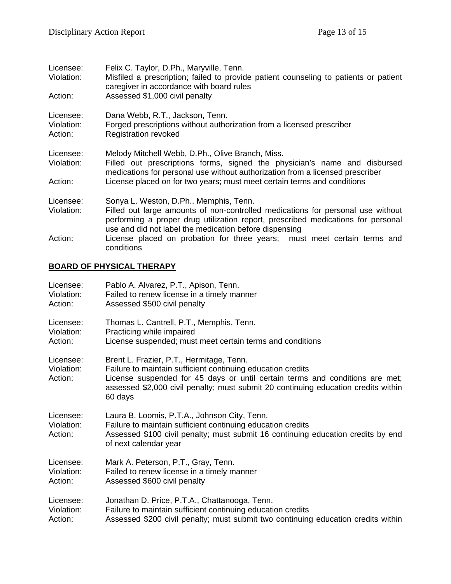| Licensee:<br>Violation:            | Felix C. Taylor, D.Ph., Maryville, Tenn.<br>Misfiled a prescription; failed to provide patient counseling to patients or patient<br>caregiver in accordance with board rules                                                  |
|------------------------------------|-------------------------------------------------------------------------------------------------------------------------------------------------------------------------------------------------------------------------------|
| Action:                            | Assessed \$1,000 civil penalty                                                                                                                                                                                                |
| Licensee:<br>Violation:<br>Action: | Dana Webb, R.T., Jackson, Tenn.<br>Forged prescriptions without authorization from a licensed prescriber<br><b>Registration revoked</b>                                                                                       |
| Licensee:<br>Violation:            | Melody Mitchell Webb, D.Ph., Olive Branch, Miss.<br>Filled out prescriptions forms, signed the physician's name and disbursed<br>medications for personal use without authorization from a licensed prescriber                |
| Action:                            | License placed on for two years; must meet certain terms and conditions                                                                                                                                                       |
| Licensee:                          | Sonya L. Weston, D.Ph., Memphis, Tenn.                                                                                                                                                                                        |
| Violation:                         | Filled out large amounts of non-controlled medications for personal use without<br>performing a proper drug utilization report, prescribed medications for personal<br>use and did not label the medication before dispensing |
| Action:                            | License placed on probation for three years; must meet certain terms and<br>conditions                                                                                                                                        |

# **BOARD OF PHYSICAL THERAPY**

| Licensee:                          | Pablo A. Alvarez, P.T., Apison, Tenn.                                                                                                                                                                                                                                                    |
|------------------------------------|------------------------------------------------------------------------------------------------------------------------------------------------------------------------------------------------------------------------------------------------------------------------------------------|
| Violation:                         | Failed to renew license in a timely manner                                                                                                                                                                                                                                               |
| Action:                            | Assessed \$500 civil penalty                                                                                                                                                                                                                                                             |
| Licensee:                          | Thomas L. Cantrell, P.T., Memphis, Tenn.                                                                                                                                                                                                                                                 |
| Violation:                         | Practicing while impaired                                                                                                                                                                                                                                                                |
| Action:                            | License suspended; must meet certain terms and conditions                                                                                                                                                                                                                                |
| Licensee:<br>Violation:<br>Action: | Brent L. Frazier, P.T., Hermitage, Tenn.<br>Failure to maintain sufficient continuing education credits<br>License suspended for 45 days or until certain terms and conditions are met;<br>assessed \$2,000 civil penalty; must submit 20 continuing education credits within<br>60 days |
| Licensee:<br>Violation:<br>Action: | Laura B. Loomis, P.T.A., Johnson City, Tenn.<br>Failure to maintain sufficient continuing education credits<br>Assessed \$100 civil penalty; must submit 16 continuing education credits by end<br>of next calendar year                                                                 |
| Licensee:                          | Mark A. Peterson, P.T., Gray, Tenn.                                                                                                                                                                                                                                                      |
| Violation:                         | Failed to renew license in a timely manner                                                                                                                                                                                                                                               |
| Action:                            | Assessed \$600 civil penalty                                                                                                                                                                                                                                                             |
| Licensee:                          | Jonathan D. Price, P.T.A., Chattanooga, Tenn.                                                                                                                                                                                                                                            |
| Violation:                         | Failure to maintain sufficient continuing education credits                                                                                                                                                                                                                              |
| Action:                            | Assessed \$200 civil penalty; must submit two continuing education credits within                                                                                                                                                                                                        |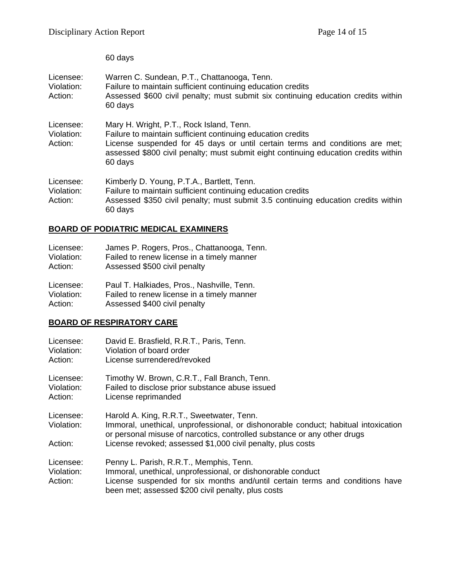60 days

| Licensee:<br>Violation:<br>Action: | Warren C. Sundean, P.T., Chattanooga, Tenn.<br>Failure to maintain sufficient continuing education credits<br>Assessed \$600 civil penalty; must submit six continuing education credits within<br>60 days                                                                                |
|------------------------------------|-------------------------------------------------------------------------------------------------------------------------------------------------------------------------------------------------------------------------------------------------------------------------------------------|
| Licensee:<br>Violation:<br>Action: | Mary H. Wright, P.T., Rock Island, Tenn.<br>Failure to maintain sufficient continuing education credits<br>License suspended for 45 days or until certain terms and conditions are met;<br>assessed \$800 civil penalty; must submit eight continuing education credits within<br>60 days |
| Licensee:<br>Violation:<br>Action: | Kimberly D. Young, P.T.A., Bartlett, Tenn.<br>Failure to maintain sufficient continuing education credits<br>Assessed \$350 civil penalty; must submit 3.5 continuing education credits within<br>60 days                                                                                 |

### **BOARD OF PODIATRIC MEDICAL EXAMINERS**

| Licensee:  | James P. Rogers, Pros., Chattanooga, Tenn. |
|------------|--------------------------------------------|
| Violation: | Failed to renew license in a timely manner |
| Action:    | Assessed \$500 civil penalty               |
| Licensee:  | Paul T. Halkiades, Pros., Nashville, Tenn. |
| Violation: | Failed to renew license in a timely manner |

Action: Assessed \$400 civil penalty

### **BOARD OF RESPIRATORY CARE**

| Licensee:                          | David E. Brasfield, R.R.T., Paris, Tenn.                                                                                                                                                                                                                                   |
|------------------------------------|----------------------------------------------------------------------------------------------------------------------------------------------------------------------------------------------------------------------------------------------------------------------------|
| Violation:                         | Violation of board order                                                                                                                                                                                                                                                   |
| Action:                            | License surrendered/revoked                                                                                                                                                                                                                                                |
| Licensee:                          | Timothy W. Brown, C.R.T., Fall Branch, Tenn.                                                                                                                                                                                                                               |
| Violation:                         | Failed to disclose prior substance abuse issued                                                                                                                                                                                                                            |
| Action:                            | License reprimanded                                                                                                                                                                                                                                                        |
| Licensee:<br>Violation:<br>Action: | Harold A. King, R.R.T., Sweetwater, Tenn.<br>Immoral, unethical, unprofessional, or dishonorable conduct; habitual intoxication<br>or personal misuse of narcotics, controlled substance or any other drugs<br>License revoked; assessed \$1,000 civil penalty, plus costs |
| Licensee:<br>Violation:<br>Action: | Penny L. Parish, R.R.T., Memphis, Tenn.<br>Immoral, unethical, unprofessional, or dishonorable conduct<br>License suspended for six months and/until certain terms and conditions have<br>been met; assessed \$200 civil penalty, plus costs                               |